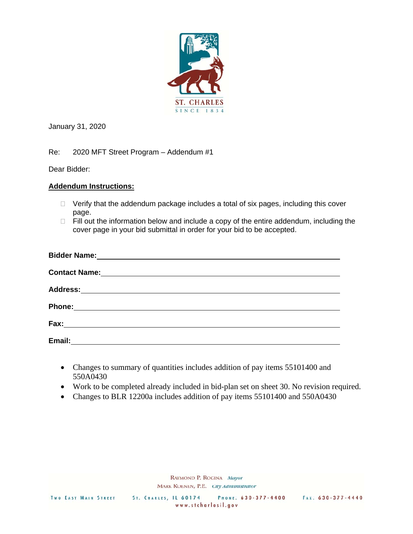

January 31, 2020

Re: 2020 MFT Street Program – Addendum #1

Dear Bidder:

## **Addendum Instructions:**

- $\Box$  Verify that the addendum package includes a total of six pages, including this cover page.
- $\Box$  Fill out the information below and include a copy of the entire addendum, including the cover page in your bid submittal in order for your bid to be accepted.

| <b>Contact Name:</b> | <u> 1989 - Johann John Stone, markin sanadi a shekara 1989 - An an tsarani a shekara 1989 - An an tsara</u>          |  |  |
|----------------------|----------------------------------------------------------------------------------------------------------------------|--|--|
|                      |                                                                                                                      |  |  |
| Phone:               | <u> 1980 - Andrea State Barbara, político e a contra de la contra de la contra de la contra de la contra de la c</u> |  |  |
| Fax:                 |                                                                                                                      |  |  |
| Email:               |                                                                                                                      |  |  |

- Changes to summary of quantities includes addition of pay items 55101400 and 550A0430
- Work to be completed already included in bid-plan set on sheet 30. No revision required.
- Changes to BLR 12200a includes addition of pay items 55101400 and 550A0430

RAYMOND P. ROGINA Mayor MARK KOENEN, P.E. City Administrator

PHONE: 630-377-4400 ST. CHARLES, IL 60174 www.stcharlesil.gov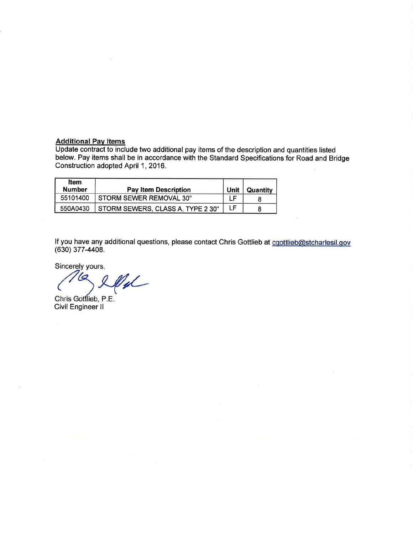Additional Pay Items<br>Update contract to include two additional pay items of the description and quantities listed<br>below. Pay items shall be in accordance with the Standard Specifications for Road and Bridge Construction adopted April 1, 2016.

| ltem<br><b>Number</b> | <b>Pay Item Description</b>       | Unit | Quantity |
|-----------------------|-----------------------------------|------|----------|
| 55101400              | STORM SEWER REMOVAL 30"           | -F   |          |
| 550A0430              | STORM SEWERS, CLASS A, TYPE 2 30" | LF   |          |

If you have any additional questions, please contact Chris Gottlieb at coottlieb@stcharlesil.gov  $(630)$  377-4408.

Sincerely yours,

12 U

Chris Gottlieb, P.E. Civil Engineer II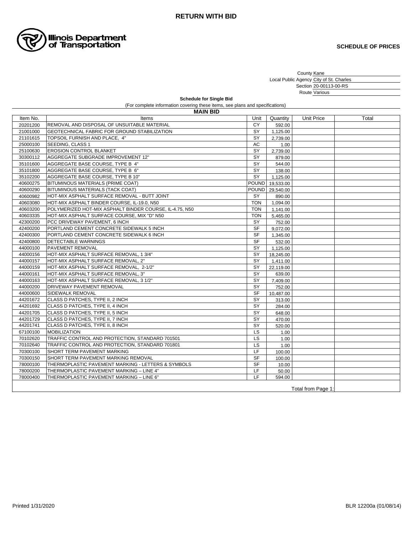

County Local Public Agency Section Route Various Kane City of St. Charles 20-00113-00-RS

(For complete information covering these items, see plans and specifications) **Schedule for Single Bid**

**MAIN BID**

| Item No.           | Items                                                   | Unit       | Quantity        | <b>Unit Price</b> | Total |  |  |
|--------------------|---------------------------------------------------------|------------|-----------------|-------------------|-------|--|--|
| 20201200           | REMOVAL AND DISPOSAL OF UNSUITABLE MATERIAL             | <b>CY</b>  | 592.00          |                   |       |  |  |
| 21001000           | <b>GEOTECHNICAL FABRIC FOR GROUND STABILIZATION</b>     | SY         | 1,125.00        |                   |       |  |  |
| 21101615           | TOPSOIL FURNISH AND PLACE, 4"                           | SY         | 2,739.00        |                   |       |  |  |
| 25000100           | SEEDING, CLASS 1                                        | AC         | 1.00            |                   |       |  |  |
| 25100630           | <b>EROSION CONTROL BLANKET</b>                          | SY         | 2,739.00        |                   |       |  |  |
| 30300112           | AGGREGATE SUBGRADE IMPROVEMENT 12"                      | SY         | 879.00          |                   |       |  |  |
| 35101600           | AGGREGATE BASE COURSE, TYPE B 4"                        | SY         | 544.00          |                   |       |  |  |
| 35101800           | AGGREGATE BASE COURSE, TYPE B 6"                        | SY         | 138.00          |                   |       |  |  |
| 35102200           | AGGREGATE BASE COURSE, TYPE B 10"                       | SY         | 1,125.00        |                   |       |  |  |
| 40600275           | BITUMINOUS MATERIALS (PRIME COAT)                       |            | POUND 19,533.00 |                   |       |  |  |
| 40600290           | BITUMINOUS MATERIALS (TACK COAT)                        |            | POUND 29,540.00 |                   |       |  |  |
| 40600982           | HOT-MIX ASPHALT SURFACE REMOVAL - BUTT JOINT            | <b>SY</b>  | 890.00          |                   |       |  |  |
| 40603080           | HOT-MIX ASPHALT BINDER COURSE, IL-19.0, N50             | <b>TON</b> | 1,094.00        |                   |       |  |  |
| 40603200           | POLYMERIZED HOT-MIX ASPHALT BINDER COURSE, IL-4.75, N50 | <b>TON</b> | 1,141.00        |                   |       |  |  |
| 40603335           | HOT-MIX ASPHALT SURFACE COURSE, MIX "D" N50             | <b>TON</b> | 5,465.00        |                   |       |  |  |
| 42300200           | PCC DRIVEWAY PAVEMENT, 6 INCH                           | SY         | 752.00          |                   |       |  |  |
| 42400200           | PORTLAND CEMENT CONCRETE SIDEWALK 5 INCH                | <b>SF</b>  | 9,072.00        |                   |       |  |  |
| 42400300           | PORTLAND CEMENT CONCRETE SIDEWALK 6 INCH                | <b>SF</b>  | 1,345.00        |                   |       |  |  |
| 42400800           | <b>DETECTABLE WARNINGS</b>                              | <b>SF</b>  | 532.00          |                   |       |  |  |
| 44000100           | <b>PAVEMENT REMOVAL</b>                                 | SY         | 1,125.00        |                   |       |  |  |
| 44000156           | HOT-MIX ASPHALT SURFACE REMOVAL, 1 3/4"                 | SY         | 18,245.00       |                   |       |  |  |
| 44000157           | HOT-MIX ASPHALT SURFACE REMOVAL, 2"                     | SY         | 1,411.00        |                   |       |  |  |
| 44000159           | HOT-MIX ASPHALT SURFACE REMOVAL, 2-1/2"                 | SY         | 22,119.00       |                   |       |  |  |
| 44000161           | HOT-MIX ASPHALT SURFACE REMOVAL, 3"                     | SY         | 639.00          |                   |       |  |  |
| 44000163           | HOT-MIX ASPHALT SURFACE REMOVAL, 3 1/2"                 | SY         | 7,409.00        |                   |       |  |  |
| 44000200           | <b>DRIVEWAY PAVEMENT REMOVAL</b>                        | SY         | 752.00          |                   |       |  |  |
| 44000600           | SIDEWALK REMOVAL                                        | <b>SF</b>  | 10,487.00       |                   |       |  |  |
| 44201672           | CLASS D PATCHES, TYPE II, 2 INCH                        | SY         | 313.00          |                   |       |  |  |
| 44201692           | CLASS D PATCHES, TYPE II, 4 INCH                        | SY         | 284.00          |                   |       |  |  |
| 44201705           | CLASS D PATCHES, TYPE II, 5 INCH                        | SY         | 648.00          |                   |       |  |  |
| 44201729           | ICLASS D PATCHES. TYPE II. 7 INCH                       | SY         | 470.00          |                   |       |  |  |
| 44201741           | CLASS D PATCHES, TYPE II, 8 INCH                        | SY         | 520.00          |                   |       |  |  |
| 67100100           | <b>MOBILIZATION</b>                                     | LS         | 1.00            |                   |       |  |  |
| 70102620           | TRAFFIC CONTROL AND PROTECTION, STANDARD 701501         | LS         | 1.00            |                   |       |  |  |
| 70102640           | TRAFFIC CONTROL AND PROTECTION. STANDARD 701801         | LS         | 1.00            |                   |       |  |  |
| 70300100           | <b>ISHORT TERM PAVEMENT MARKING</b>                     | <b>LF</b>  | 100.00          |                   |       |  |  |
| 70300150           | SHORT TERM PAVEMENT MARKING REMOVAL                     | <b>SF</b>  | 100.00          |                   |       |  |  |
| 78000100           | THERMOPLASTIC PAVEMENT MARKING - LETTERS & SYMBOLS      | <b>SF</b>  | 10.00           |                   |       |  |  |
| 78000200           | THERMOPLASTIC PAVEMENT MARKING - LINE 4"                | LF         | 50.00           |                   |       |  |  |
| 78000400           | THERMOPLASTIC PAVEMENT MARKING - LINE 6"                | <b>LF</b>  | 594.00          |                   |       |  |  |
| Total from Page 1: |                                                         |            |                 |                   |       |  |  |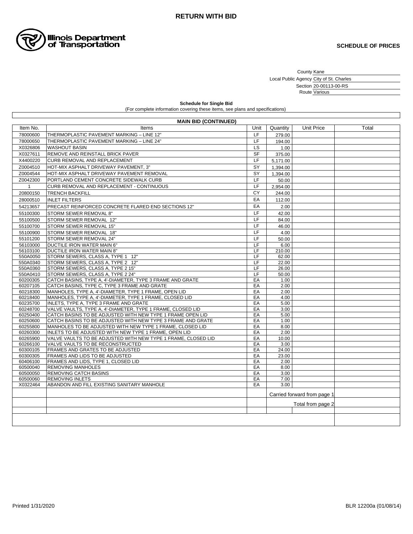

County Kane

Local Public Agency City of St. Charles Section Route Various 20-00113-00-RS

**Schedule for Single Bid** (For complete information covering these items, see plans and specifications)

|                      | <b>MAIN BID (CONTINUED)</b>                                                                                      |           |              |                             |       |
|----------------------|------------------------------------------------------------------------------------------------------------------|-----------|--------------|-----------------------------|-------|
| Item No.             | Items                                                                                                            | Unit      | Quantity     | Unit Price                  | Total |
| 78000600             | THERMOPLASTIC PAVEMENT MARKING - LINE 12"                                                                        | <b>LF</b> | 279.00       |                             |       |
| 78000650             | THERMOPLASTIC PAVEMENT MARKING - LINE 24"                                                                        | LF        | 194.00       |                             |       |
| X0326806             | <b>WASHOUT BASIN</b>                                                                                             | LS        | 1.00         |                             |       |
| X0327611             | REMOVE AND REINSTALL BRICK PAVER                                                                                 | <b>SF</b> | 375.00       |                             |       |
| X4400220             | CURB REMOVAL AND REPLACEMENT                                                                                     | LF        | 5,171.00     |                             |       |
| Z0004510             | HOT-MIX ASPHALT DRIVEWAY PAVEMENT, 3"                                                                            | SY        | 1,394.00     |                             |       |
| Z0004544             | HOT-MIX ASPHALT DRIVEWAY PAVEMENT REMOVAL                                                                        | SY        | 1,394.00     |                             |       |
| Z0042300             | PORTLAND CEMENT CONCRETE SIDEWALK CURB                                                                           | LF        | 50.00        |                             |       |
| $\mathbf{1}$         | CURB REMOVAL AND REPLACEMENT - CONTINUOUS                                                                        | LF        | 2,954.00     |                             |       |
| 20800150             | <b>TRENCH BACKFILL</b>                                                                                           | CY        | 244.00       |                             |       |
|                      |                                                                                                                  | EA        |              |                             |       |
| 28000510             | <b>INLET FILTERS</b>                                                                                             |           | 112.00       |                             |       |
| 54213657             | PRECAST REINFORCED CONCRETE FLARED END SECTIONS 12"                                                              | EA        | 2.00         |                             |       |
| 55100300             | STORM SEWER REMOVAL 8"                                                                                           | LF        | 42.00        |                             |       |
| 55100500             | STORM SEWER REMOVAL 12"                                                                                          | LF        | 84.00        |                             |       |
| 55100700             | STORM SEWER REMOVAL 15"                                                                                          | LF        | 46.00        |                             |       |
| 55100900             | STORM SEWER REMOVAL 18"                                                                                          | LF        | 4.00         |                             |       |
| 55101200             | STORM SEWER REMOVAL 24"                                                                                          | LF        | 50.00        |                             |       |
| 56103000             | DUCTILE IRON WATER MAIN 6"                                                                                       | LF        | 6.00         |                             |       |
| 56103100             | DUCTILE IRON WATER MAIN 8"                                                                                       | LF        | 210.00       |                             |       |
| 550A0050             | STORM SEWERS, CLASS A, TYPE 1 12"                                                                                | LF        | 62.00        |                             |       |
| 550A0340             | STORM SEWERS, CLASS A, TYPE 2 12"                                                                                | LF        | 22.00        |                             |       |
| 550A0360             | STORM SEWERS, CLASS A, TYPE 2 15"                                                                                | LF        | 26.00        |                             |       |
| 550A0410             | STORM SEWERS, CLASS A, TYPE 2 24"                                                                                | LF        | 50.00        |                             |       |
| 60200305             | CATCH BASINS, TYPE A, 4'-DIAMETER, TYPE 3 FRAME AND GRATE                                                        | EA        | 1.00         |                             |       |
| 60207105             | CATCH BASINS, TYPE C, TYPE 3 FRAME AND GRATE                                                                     | EA        | 2.00         |                             |       |
| 60218300<br>60218400 | MANHOLES, TYPE A, 4'-DIAMETER, TYPE 1 FRAME, OPEN LID<br>MANHOLES, TYPE A, 4'-DIAMETER, TYPE 1 FRAME, CLOSED LID | EA<br>EA  | 2.00<br>4.00 |                             |       |
| 60235700             | INLETS, TYPE A, TYPE 3 FRAME AND GRATE                                                                           | EA        | 5.00         |                             |       |
| 60248700             | VALVE VAULTS, TYPE A, 4'-DIAMETER, TYPE 1 FRAME, CLOSED LID                                                      | EA        | 3.00         |                             |       |
| 60250400             | CATCH BASINS TO BE ADJUSTED WITH NEW TYPE 1 FRAME OPEN LID                                                       | EA        | 5.00         |                             |       |
| 60250600             | CATCH BASINS TO BE ADJUSTED WITH NEW TYPE 3 FRAME AND GRATE                                                      | EA        | 1.00         |                             |       |
| 60255800             | IMANHOLES TO BE ADJUSTED WITH NEW TYPE 1 FRAME. CLOSED LID                                                       | EA        | 8.00         |                             |       |
| 60260300             | INLETS TO BE ADJUSTED WITH NEW TYPE 1 FRAME, OPEN LID                                                            | EA        | 2.00         |                             |       |
| 60265900             | VALVE VAULTS TO BE ADJUSTED WITH NEW TYPE 1 FRAME, CLOSED LID                                                    | EA        | 10.00        |                             |       |
| 60266100             | VALVE VAULTS TO BE RECONSTRUCTED                                                                                 | EA        | 3.00         |                             |       |
| 60300105             | <b>FRAMES AND GRATES TO BE ADJUSTED</b>                                                                          | EA        | 24.00        |                             |       |
| 60300305             | FRAMES AND LIDS TO BE ADJUSTED                                                                                   | EA        | 23.00        |                             |       |
| 60406100             | FRAMES AND LIDS, TYPE 1, CLOSED LID                                                                              | EA        | 2.00         |                             |       |
| 60500040             | <b>REMOVING MANHOLES</b>                                                                                         | EA        | 8.00         |                             |       |
| 60500050             | <b>REMOVING CATCH BASINS</b>                                                                                     | EA        | 3.00         |                             |       |
| 60500060             | <b>REMOVING INLETS</b>                                                                                           | EA        | 7.00         |                             |       |
| X0322464             | ABANDON AND FILL EXISTING SANITARY MANHOLE                                                                       | EA        | 3.00         |                             |       |
|                      |                                                                                                                  |           |              | Carried forward from page 1 |       |
|                      |                                                                                                                  |           |              | Total from page 2           |       |
|                      |                                                                                                                  |           |              |                             |       |
|                      |                                                                                                                  |           |              |                             |       |
|                      |                                                                                                                  |           |              |                             |       |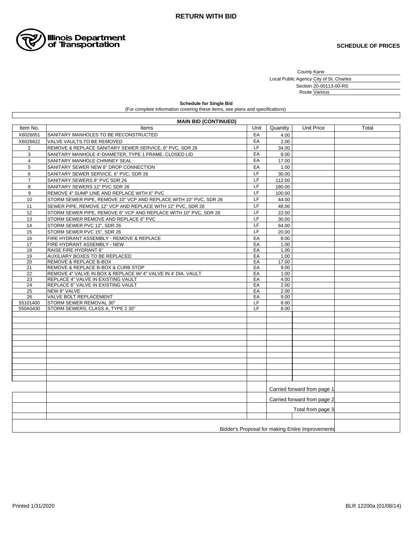

County Kane

Local Public Agency City of St. Charles Section Route 20-00113-00-RS Various

**Schedule for Single Bid** (For complete information covering these items, see plans and specifications)

| <b>MAIN BID (CONTINUED)</b>                      |                                                                   |          |                             |                             |       |  |  |  |
|--------------------------------------------------|-------------------------------------------------------------------|----------|-----------------------------|-----------------------------|-------|--|--|--|
| Item No.                                         | Items                                                             | Unit     | Quantity                    | <b>Unit Price</b>           | Total |  |  |  |
| X6026051                                         | SANITARY MANHOLES TO BE RECONSTRUCTED                             | EA       | 4.00                        |                             |       |  |  |  |
| X6026622                                         | VALVE VAULTS TO BE REMOVED                                        | EA       | 2.00                        |                             |       |  |  |  |
| $\overline{2}$                                   | REMOVE & REPLACE SANITARY SEWER SERVICE, 6" PVC, SDR 26           | LF       | 34.00                       |                             |       |  |  |  |
| 3                                                | SANITARY MANHOLE 4'-DIAMETER, TYPE 1 FRAME, CLOSED LID            | EA       | 8.00                        |                             |       |  |  |  |
| 4                                                | SANITARY MANHOLE CHIMNEY SEAL                                     | EA       | 17.00                       |                             |       |  |  |  |
| 5                                                | SANITARY SEWER NEW 8" DROP CONNECTION                             | EA       | 1.00                        |                             |       |  |  |  |
| 6                                                | SANITARY SEWER SERVICE, 6" PVC, SDR 26                            | LF       | 30.00                       |                             |       |  |  |  |
| $\overline{7}$                                   | SANITARY SEWERS 8" PVC SDR 26                                     | LF       | 112.00                      |                             |       |  |  |  |
| 8                                                | SANITARY SEWERS 12" PVC SDR 26                                    | LF       | 180.00                      |                             |       |  |  |  |
| 9                                                | REMOVE 4" SUMP LINE AND REPLACE WITH 6" PVC                       | LF       | 100.00                      |                             |       |  |  |  |
| 10                                               | STORM SEWER PIPE, REMOVE 10" VCP AND REPLACE WITH 10" PVC, SDR 26 | LF       | 44.00                       |                             |       |  |  |  |
| 11                                               | SEWER PIPE, REMOVE 12" VCP AND REPLACE WITH 12" PVC, SDR 26       | LF       | 48.00                       |                             |       |  |  |  |
| 12                                               | STORM SEWER PIPE, REMOVE 8" VCP AND REPLACE WITH 10" PVC, SDR 26  | LF       | 22.00                       |                             |       |  |  |  |
| 13                                               | STORM SEWER REMOVE AND REPLACE 6" PVC                             | LF       | 30.00                       |                             |       |  |  |  |
| 14                                               | STORM SEWER PVC 12", SDR 26                                       | LF       | 64.00                       |                             |       |  |  |  |
| 15                                               | STORM SEWER PVC 15", SDR 26                                       | LF       | 20.00                       |                             |       |  |  |  |
| 16                                               | FIRE HYDRANT ASSEMBLY - REMOVE & REPLACE                          | EA       | 8.00                        |                             |       |  |  |  |
| 17                                               | FIRE HYDRANT ASSEMBLY - NEW                                       | EA       | 1.00                        |                             |       |  |  |  |
| 18                                               | RAISE FIRE HYDRANT 6"                                             | EA       | 1.00                        |                             |       |  |  |  |
| 19                                               | AUXILIARY BOXES TO BE REPLACED                                    | EA       | 1.00                        |                             |       |  |  |  |
| 20                                               | REMOVE & REPLACE B-BOX                                            | EA       | 17.00                       |                             |       |  |  |  |
| 21                                               | REMOVE & REPLACE B-BOX & CURB STOP                                | EA       | 9.00                        |                             |       |  |  |  |
| 22                                               | REMOVE 4" VALVE IN BOX & REPLACE W/ 4" VALVE IN 4' DIA, VAULT     | EA       | 1.00                        |                             |       |  |  |  |
| 23                                               | REPLACE 4" VALVE IN EXISTING VAULT                                | EA       | 4.00                        |                             |       |  |  |  |
| 24                                               | REPLACE 6" VALVE IN EXISTING VAULT                                | EA       | 2.00                        |                             |       |  |  |  |
| 25<br>26                                         | NEW 8" VALVE<br>VALVE BOLT REPLACEMENT                            | EA<br>EA | 2.00<br>9.00                |                             |       |  |  |  |
| 55101400                                         | STORM SEWER REMOVAL 30"                                           | LF.      | 8.00                        |                             |       |  |  |  |
| 550A0430                                         | STORM SEWERS, CLASS A, TYPE 2 30"                                 | LF       | 8.00                        |                             |       |  |  |  |
|                                                  |                                                                   |          |                             |                             |       |  |  |  |
|                                                  |                                                                   |          |                             |                             |       |  |  |  |
|                                                  |                                                                   |          |                             |                             |       |  |  |  |
|                                                  |                                                                   |          |                             |                             |       |  |  |  |
|                                                  |                                                                   |          |                             |                             |       |  |  |  |
|                                                  |                                                                   |          |                             |                             |       |  |  |  |
|                                                  |                                                                   |          |                             |                             |       |  |  |  |
|                                                  |                                                                   |          |                             |                             |       |  |  |  |
|                                                  |                                                                   |          |                             |                             |       |  |  |  |
|                                                  |                                                                   |          |                             |                             |       |  |  |  |
|                                                  |                                                                   |          |                             |                             |       |  |  |  |
|                                                  |                                                                   |          |                             | Carried forward from page 1 |       |  |  |  |
|                                                  |                                                                   |          | Carried forward from page 2 |                             |       |  |  |  |
|                                                  |                                                                   |          | Total from page 3           |                             |       |  |  |  |
|                                                  |                                                                   |          |                             |                             |       |  |  |  |
|                                                  |                                                                   |          |                             |                             |       |  |  |  |
| Bidder's Proposal for making Entire Improvements |                                                                   |          |                             |                             |       |  |  |  |